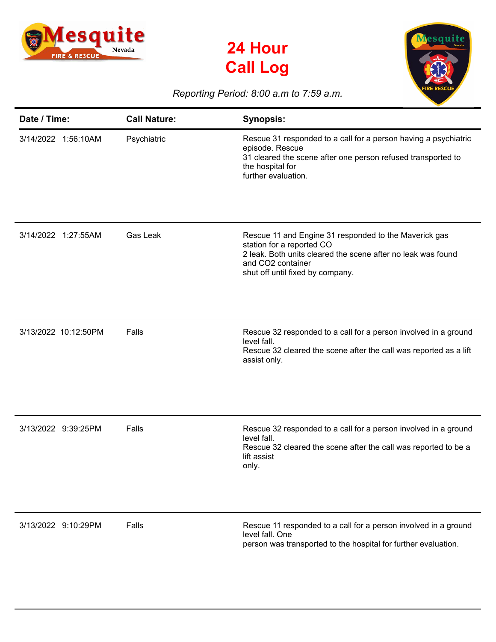

## **24 Hour Call Log**



## *Reporting Period: 8:00 a.m to 7:59 a.m.*

| Date / Time:         | <b>Call Nature:</b> | <b>Synopsis:</b>                                                                                                                                                                                            |
|----------------------|---------------------|-------------------------------------------------------------------------------------------------------------------------------------------------------------------------------------------------------------|
| 3/14/2022 1:56:10AM  | Psychiatric         | Rescue 31 responded to a call for a person having a psychiatric<br>episode. Rescue<br>31 cleared the scene after one person refused transported to<br>the hospital for<br>further evaluation.               |
| 3/14/2022 1:27:55AM  | Gas Leak            | Rescue 11 and Engine 31 responded to the Maverick gas<br>station for a reported CO<br>2 leak. Both units cleared the scene after no leak was found<br>and CO2 container<br>shut off until fixed by company. |
| 3/13/2022 10:12:50PM | Falls               | Rescue 32 responded to a call for a person involved in a ground<br>level fall.<br>Rescue 32 cleared the scene after the call was reported as a lift<br>assist only.                                         |
| 3/13/2022 9:39:25PM  | Falls               | Rescue 32 responded to a call for a person involved in a ground<br>level fall.<br>Rescue 32 cleared the scene after the call was reported to be a<br>lift assist<br>only.                                   |
| 3/13/2022 9:10:29PM  | Falls               | Rescue 11 responded to a call for a person involved in a ground<br>level fall. One<br>person was transported to the hospital for further evaluation.                                                        |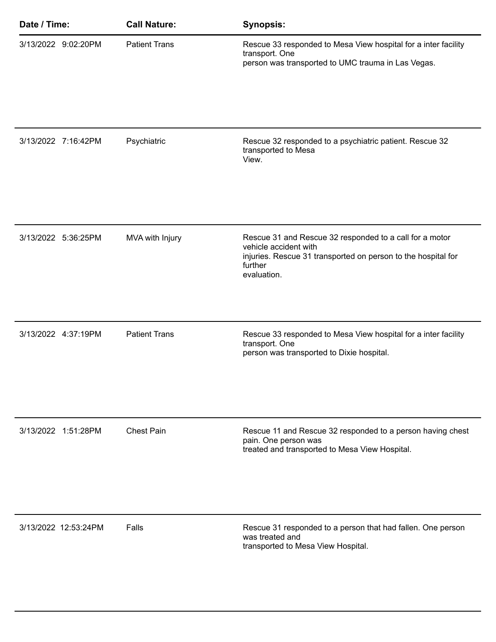| Date / Time: |                      | <b>Call Nature:</b>  | <b>Synopsis:</b>                                                                                                                                                            |
|--------------|----------------------|----------------------|-----------------------------------------------------------------------------------------------------------------------------------------------------------------------------|
|              | 3/13/2022 9:02:20PM  | <b>Patient Trans</b> | Rescue 33 responded to Mesa View hospital for a inter facility<br>transport. One<br>person was transported to UMC trauma in Las Vegas.                                      |
|              | 3/13/2022 7:16:42PM  | Psychiatric          | Rescue 32 responded to a psychiatric patient. Rescue 32<br>transported to Mesa<br>View.                                                                                     |
|              | 3/13/2022 5:36:25PM  | MVA with Injury      | Rescue 31 and Rescue 32 responded to a call for a motor<br>vehicle accident with<br>injuries. Rescue 31 transported on person to the hospital for<br>further<br>evaluation. |
|              | 3/13/2022 4:37:19PM  | <b>Patient Trans</b> | Rescue 33 responded to Mesa View hospital for a inter facility<br>transport. One<br>person was transported to Dixie hospital.                                               |
|              | 3/13/2022 1:51:28PM  | <b>Chest Pain</b>    | Rescue 11 and Rescue 32 responded to a person having chest<br>pain. One person was<br>treated and transported to Mesa View Hospital.                                        |
|              | 3/13/2022 12:53:24PM | Falls                | Rescue 31 responded to a person that had fallen. One person<br>was treated and<br>transported to Mesa View Hospital.                                                        |